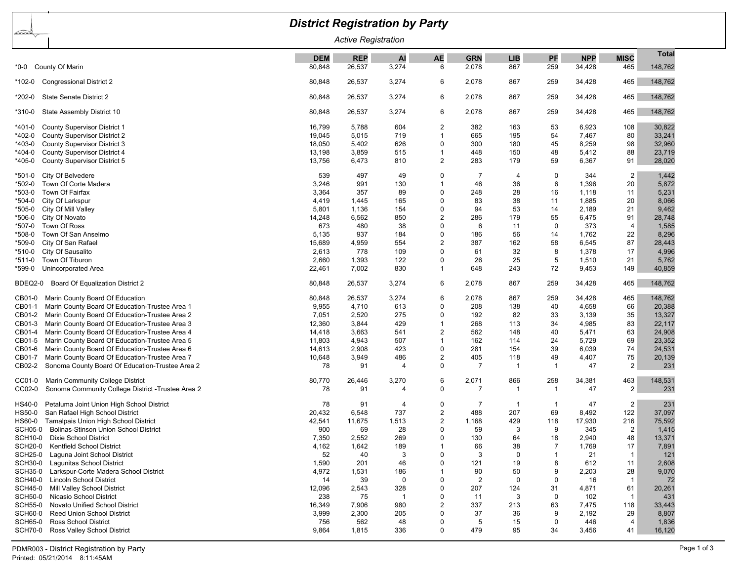| <b>District Registration by Party</b>                        |            |            |       |                |                |                         |                |            |                |              |  |
|--------------------------------------------------------------|------------|------------|-------|----------------|----------------|-------------------------|----------------|------------|----------------|--------------|--|
| ∠≥≥≥<br><b>Active Registration</b>                           |            |            |       |                |                |                         |                |            |                |              |  |
|                                                              | <b>DEM</b> | <b>REP</b> | AI    | <b>AE</b>      | <b>GRN</b>     | <b>LIB</b>              | PF             | <b>NPP</b> | <b>MISC</b>    | <b>Total</b> |  |
| County Of Marin<br>*0-0                                      | 80,848     | 26,537     | 3,274 | 6              | 2,078          | 867                     | 259            | 34,428     | 465            | 148,762      |  |
| <b>Congressional District 2</b><br>*102-0                    | 80,848     | 26,537     | 3,274 | 6              | 2,078          | 867                     | 259            | 34,428     | 465            | 148,762      |  |
| State Senate District 2<br>*202-0                            | 80,848     | 26,537     | 3,274 | 6              | 2,078          | 867                     | 259            | 34,428     | 465            | 148,762      |  |
| State Assembly District 10<br>*310-0                         | 80,848     | 26,537     | 3,274 | 6              | 2,078          | 867                     | 259            | 34,428     | 465            | 148,762      |  |
| <b>County Supervisor District 1</b><br>*401-0                | 16,799     | 5,788      | 604   | $\overline{2}$ | 382            | 163                     | 53             | 6,923      | 108            | 30,822       |  |
| *402-0<br><b>County Supervisor District 2</b>                | 19,045     | 5,015      | 719   |                | 665            | 195                     | 54             | 7,467      | 80             | 33,241       |  |
| *403-0<br><b>County Supervisor District 3</b>                | 18,050     | 5,402      | 626   | $\Omega$       | 300            | 180                     | 45             | 8,259      | 98             | 32,960       |  |
| County Supervisor District 4<br>*404-0                       | 13,198     | 3,859      | 515   |                | 448            | 150                     | 48             | 5,412      | 88             | 23,719       |  |
| *405-0<br>County Supervisor District 5                       | 13,756     | 6,473      | 810   | $\overline{c}$ | 283            | 179                     | 59             | 6,367      | 91             | 28,020       |  |
| City Of Belvedere<br>*501-0                                  | 539        | 497        | 49    | $\Omega$       | 7              | 4                       | $\mathbf 0$    | 344        | $\overline{2}$ | 1,442        |  |
| Town Of Corte Madera<br>*502-0                               | 3,246      | 991        | 130   | -1             | 46             | 36                      | 6              | 1,396      | 20             | 5,872        |  |
| Town Of Fairfax<br>*503-0                                    | 3,364      | 357        | 89    | $\Omega$       | 248            | 28                      | 16             | 1,118      | 11             | 5,231        |  |
| City Of Larkspur<br>*504-0                                   | 4,419      | 1,445      | 165   | 0              | 83             | 38                      | 11             | 1,885      | 20             | 8,066        |  |
| *505-0<br>City Of Mill Valley                                | 5,801      | 1,136      | 154   | $\mathbf 0$    | 94             | 53                      | 14             | 2,189      | 21             | 9,462        |  |
| *506-0<br>City Of Novato                                     | 14,248     | 6,562      | 850   | $\overline{2}$ | 286            | 179                     | 55             | 6,475      | 91             | 28,748       |  |
| Town Of Ross<br>*507-0                                       | 673        | 480        | 38    | $\Omega$       | 6              | 11                      | $\mathbf 0$    | 373        | $\overline{4}$ | 1,585        |  |
| Town Of San Anselmo<br>*508-0                                | 5,135      | 937        | 184   | 0              | 186            | 56                      | 14             | 1,762      | 22             | 8,296        |  |
| *509-0<br>City Of San Rafael                                 | 15,689     | 4,959      | 554   | $\overline{2}$ | 387            | 162                     | 58             | 6,545      | 87             | 28,443       |  |
| City Of Sausalito<br>*510-0                                  | 2,613      | 778        | 109   | 0              | 61             | 32                      | 8              | 1,378      | 17             | 4,996        |  |
| Town Of Tiburon<br>*511-0                                    | 2,660      | 1,393      | 122   | $\Omega$       | 26             | 25                      | 5              | 1,510      | 21             | 5,762        |  |
| Unincorporated Area<br>*599-0                                | 22,461     | 7,002      | 830   | $\overline{1}$ | 648            | 243                     | 72             | 9,453      | 149            | 40,859       |  |
| Board Of Equalization District 2<br>BDEQ2-0                  | 80,848     | 26,537     | 3,274 | 6              | 2,078          | 867                     | 259            | 34,428     | 465            | 148,762      |  |
| Marin County Board Of Education<br>CB01-0                    | 80,848     | 26,537     | 3,274 | 6              | 2,078          | 867                     | 259            | 34,428     | 465            | 148,762      |  |
| Marin County Board Of Education-Trustee Area 1<br>CB01-1     | 9,955      | 4,710      | 613   | $\Omega$       | 208            | 138                     | 40             | 4,658      | 66             | 20,388       |  |
| Marin County Board Of Education-Trustee Area 2<br>CB01-2     | 7,051      | 2,520      | 275   | $\Omega$       | 192            | 82                      | 33             | 3,139      | 35             | 13,327       |  |
| Marin County Board Of Education-Trustee Area 3<br>CB01-3     | 12,360     | 3,844      | 429   |                | 268            | 113                     | 34             | 4,985      | 83             | 22,117       |  |
| Marin County Board Of Education-Trustee Area 4<br>CB01-4     | 14,418     | 3,663      | 541   | $\overline{c}$ | 562            | 148                     | 40             | 5,471      | 63             | 24,908       |  |
| Marin County Board Of Education-Trustee Area 5<br>CB01-5     | 11,803     | 4,943      | 507   | -1             | 162            | 114                     | 24             | 5,729      | 69             | 23,352       |  |
| CB01-6<br>Marin County Board Of Education-Trustee Area 6     | 14,613     | 2,908      | 423   | $\mathbf 0$    | 281            | 154                     | 39             | 6,039      | 74             | 24,531       |  |
| Marin County Board Of Education-Trustee Area 7<br>CB01-7     | 10,648     | 3,949      | 486   | $\overline{2}$ | 405            | 118                     | 49             | 4,407      | 75             | 20,139       |  |
| Sonoma County Board Of Education-Trustee Area 2<br>CB02-2    | 78         | 91         | 4     | $\mathbf 0$    | 7              | -1                      | $\mathbf{1}$   | 47         | $\overline{2}$ | 231          |  |
| Marin Community College District<br>CC01-0                   | 80,770     | 26,446     | 3,270 | 6              | 2,071          | 866                     | 258            | 34,381     | 463            | 148,531      |  |
| CC02-0<br>Sonoma Community College District - Trustee Area 2 | 78         | 91         | 4     | $\mathbf 0$    | $\overline{7}$ | $\overline{\mathbf{1}}$ | $\mathbf{1}$   | 47         | 2              | 231          |  |
| Petaluma Joint Union High School District<br>HS40-0          | 78         | 91         | 4     | 0              | 7              | -1                      | -1             | 47         | $\overline{2}$ | 231          |  |
| San Rafael High School District<br>HS50-0                    | 20,432     | 6,548      | 737   | $\overline{2}$ | 488            | 207                     | 69             | 8,492      | 122            | 37,097       |  |
| Tamalpais Union High School District<br>HS60-0               | 42,541     | 11,675     | 1,513 | $\overline{2}$ | 1,168          | 429                     | 118            | 17,930     | 216            | 75,592       |  |
| <b>Bolinas-Stinson Union School District</b><br>SCH05-0      | 900        | 69         | 28    | $\Omega$       | 59             | 3                       | 9              | 345        | $\overline{2}$ | 1,415        |  |
| SCH10-0 Dixie School District                                | 7,350      | 2,552      | 269   | 0              | 130            | 64                      | 18             | 2,940      | 48             | 13,371       |  |
| Kentfield School District<br><b>SCH20-0</b>                  | 4,162      | 1,642      | 189   |                | 66             | 38                      | $\overline{7}$ | 1,769      | 17             | 7,891        |  |
| <b>SCH25-0</b><br>Laguna Joint School District               | 52         | 40         | 3     | 0              | 3              | 0                       | $\mathbf{1}$   | 21         | $\mathbf 1$    | 121          |  |
| <b>SCH30-0</b><br>Lagunitas School District                  | 1,590      | 201        | 46    | $\Omega$       | 121            | 19                      | 8              | 612        | 11             | 2,608        |  |
| Larkspur-Corte Madera School District<br><b>SCH35-0</b>      | 4,972      | 1,531      | 186   |                | 90             | 50                      | 9              | 2,203      | 28             | 9,070        |  |
| <b>SCH40-0</b><br><b>Lincoln School District</b>             | 14         | 39         | 0     | $\Omega$       | 2              | 0                       | $\Omega$       | 16         | $\overline{1}$ | 72           |  |
| Mill Valley School District<br>SCH45-0                       | 12,096     | 2,543      | 328   | $\Omega$       | 207            | 124                     | 31             | 4,871      | 61             | 20,261       |  |
| <b>SCH50-0</b><br>Nicasio School District                    | 238        | 75         | - 1   | $\Omega$       | 11             | 3                       | $\mathbf 0$    | 102        | $\overline{1}$ | 431          |  |
| Novato Unified School District<br><b>SCH55-0</b>             | 16,349     | 7,906      | 980   | $\overline{2}$ | 337            | 213                     | 63             | 7,475      | 118            | 33,443       |  |
| <b>SCH60-0</b><br><b>Reed Union School District</b>          | 3,999      | 2,300      | 205   | 0              | 37             | 36                      | 9              | 2,192      | 29             | 8,807        |  |
| <b>SCH65-0</b><br><b>Ross School District</b>                | 756        | 562        | 48    | 0              | 5              | 15                      | $\Omega$       | 446        | 4              | 1,836        |  |
| <b>SCH70-0</b><br>Ross Valley School District                | 9,864      | 1,815      | 336   | $\Omega$       | 479            | 95                      | 34             | 3,456      | 41             | 16,120       |  |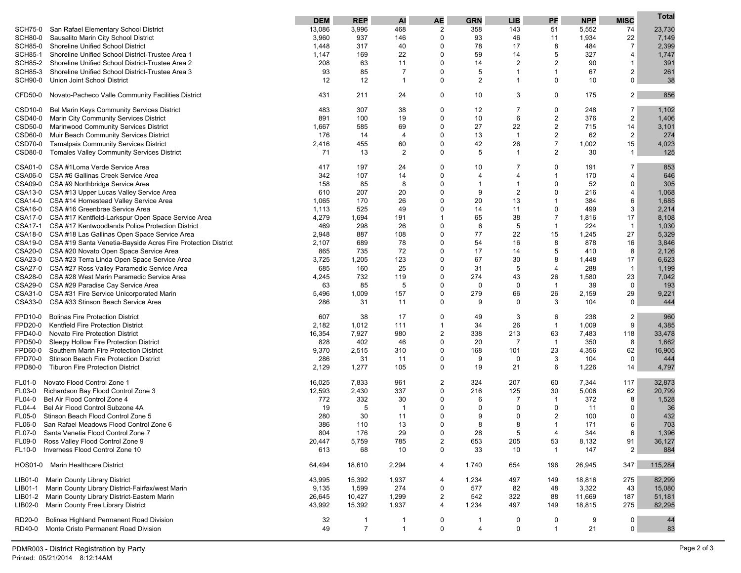|                                |                                                                               | <b>DEM</b> | <b>REP</b>     | AI                   | <b>AE</b>                     | <b>GRN</b>              | <b>LIB</b>     | PF                 | <b>NPP</b> | <b>MISC</b>          | Total       |
|--------------------------------|-------------------------------------------------------------------------------|------------|----------------|----------------------|-------------------------------|-------------------------|----------------|--------------------|------------|----------------------|-------------|
| <b>SCH75-0</b>                 | San Rafael Elementary School District                                         | 13,086     | 3,996          | 468                  | 2                             | 358                     | 143            | 51                 | 5,552      | 74                   | 23,730      |
| <b>SCH80-0</b>                 | Sausalito Marin City School District                                          | 3,960      | 937            | 146                  | $\Omega$                      | 93                      | 46             | 11                 | 1,934      | 22                   | 7,149       |
| <b>SCH85-0</b>                 | <b>Shoreline Unified School District</b>                                      | 1,448      | 317            | 40                   | $\Omega$                      | 78                      | 17             | 8                  | 484        | $\overline{7}$       | 2,399       |
| <b>SCH85-1</b>                 | Shoreline Unified School District-Trustee Area 1                              | 1,147      | 169            | 22                   | $\Omega$                      | 59                      | 14             | 5                  | 327        | $\overline{4}$       | 1,747       |
| <b>SCH85-2</b>                 | Shoreline Unified School District-Trustee Area 2                              | 208        | 63             | 11                   | $\Omega$                      | 14                      | $\overline{2}$ | $\overline{2}$     | 90         | $\mathbf{1}$         | 391         |
| <b>SCH85-3</b>                 | Shoreline Unified School District-Trustee Area 3                              | 93         | 85             | 7                    | $\Omega$                      | 5                       | 1              | $\mathbf 1$        | 67         | 2                    | 261         |
| <b>SCH90-0</b>                 | Union Joint School District                                                   | 12         | 12             | 1                    | 0                             | $\overline{2}$          | 1              | $\Omega$           | 10         | $\mathbf 0$          | 38          |
|                                |                                                                               |            |                |                      |                               |                         |                |                    |            |                      |             |
| CFD50-0                        | Novato-Pacheco Valle Community Facilities District                            | 431        | 211            | 24                   | 0                             | 10                      | 3              | 0                  | 175        | 2                    | 856         |
| CSD10-0                        | Bel Marin Keys Community Services District                                    | 483        | 307            | 38                   | 0                             | 12                      | 7              | 0                  | 248        | 7                    | 1,102       |
| CSD40-0                        | Marin City Community Services District                                        | 891        | 100            | 19                   | $\Omega$                      | 10                      | 6              | $\boldsymbol{2}$   | 376        | $\overline{2}$       | 1,406       |
|                                | CSD50-0 Marinwood Community Services District                                 | 1,667      | 585            | 69                   | 0                             | 27                      | 22             | $\boldsymbol{2}$   | 715        | 14                   | 3,101       |
| CSD60-0                        | Muir Beach Community Services District                                        | 176        | 14             | $\overline{4}$       | $\Omega$                      | 13                      | $\overline{1}$ | $\overline{2}$     | 62         | 2                    | 274         |
| CSD70-0                        | <b>Tamalpais Community Services District</b>                                  | 2,416      | 455            | 60                   | 0                             | 42                      | 26             | $\overline{7}$     | 1,002      | 15                   | 4,023       |
| CSD80-0                        | Tomales Valley Community Services District                                    | 71         | 13             | 2                    | 0                             | 5                       | $\mathbf{1}$   | $\overline{2}$     | 30         | $\mathbf{1}$         | 125         |
| CSA01-0                        | CSA #1Loma Verde Service Area                                                 | 417        | 197            | 24                   | $\Omega$                      | 10                      | 7              | $\Omega$           | 191        | 7                    | 853         |
| CSA06-0                        | CSA #6 Gallinas Creek Service Area                                            | 342        | 107            | 14                   | 0                             | 4                       | 4              | $\mathbf{1}$       | 170        | 4                    | 646         |
|                                | CSA09-0 CSA #9 Northbridge Service Area                                       | 158        | 85             | 8                    | $\Omega$                      | 1                       | -1             | $\Omega$           | 52         | $\mathbf 0$          | 305         |
|                                | CSA13-0 CSA #13 Upper Lucas Valley Service Area                               | 610        | 207            | 20                   | $\Omega$                      | 9                       | $\overline{2}$ | $\Omega$           | 216        | $\overline{4}$       | 1,068       |
|                                | CSA14-0 CSA #14 Homestead Valley Service Area                                 | 1,065      | 170            | 26                   | $\Omega$                      | 20                      | 13             | $\mathbf 1$        | 384        | 6                    | 1,685       |
|                                | CSA16-0 CSA #16 Greenbrae Service Area                                        | 1,113      | 525            | 49                   | $\Omega$                      | 14                      | 11             | $\Omega$           | 499        | 3                    | 2,214       |
|                                | CSA17-0 CSA #17 Kentfield-Larkspur Open Space Service Area                    | 4,279      | 1,694          | 191                  | 1                             | 65                      | 38             | $\overline{7}$     | 1,816      | 17                   | 8,108       |
| CSA17-1                        | CSA #17 Kentwoodlands Police Protection District                              | 469        | 298            | 26                   | $\Omega$                      | 6                       | 5              | $\mathbf{1}$       | 224        | $\mathbf{1}$         | 1,030       |
|                                | CSA18-0 CSA #18 Las Gallinas Open Space Service Area                          | 2,948      | 887            | 108                  | $\Omega$                      | 77                      | 22             | 15                 | 1,245      | 27                   | 5,329       |
|                                | CSA19-0 CSA #19 Santa Venetia-Bayside Acres Fire Protection District          | 2,107      | 689            | 78                   | $\Omega$                      | 54                      | 16             | 8                  | 878        | 16                   | 3,846       |
|                                | CSA20-0 CSA #20 Novato Open Space Service Area                                | 865        | 735            | 72                   | $\Omega$                      | 17                      | 14             | 5                  | 410        | 8                    | 2,126       |
|                                | CSA23-0 CSA #23 Terra Linda Open Space Service Area                           | 3,725      | 1,205          | 123                  | 0                             | 67                      | 30             | 8                  | 1,448      | 17                   | 6,623       |
|                                | CSA27-0 CSA #27 Ross Valley Paramedic Service Area                            | 685        | 160            | 25                   | $\Omega$                      | 31                      | 5              | $\overline{4}$     | 288        | $\mathbf{1}$         | 1,199       |
|                                | CSA28-0 CSA #28 West Marin Paramedic Service Area                             | 4,245      | 732            | 119                  | $\Omega$                      | 274                     | 43             | 26                 | 1,580      | 23                   | 7,042       |
|                                | CSA29-0 CSA #29 Paradise Cay Service Area                                     | 63         | 85             | 5                    | $\Omega$                      | 0                       | 0              | $\mathbf{1}$       | 39         | $\mathbf 0$          | 193         |
| CSA31-0                        | CSA #31 Fire Service Unicorporated Marin                                      | 5,496      | 1,009          | 157                  | $\Omega$                      | 279                     | 66             | 26                 | 2,159      | 29                   | 9,221       |
|                                | CSA33-0 CSA #33 Stinson Beach Service Area                                    | 286        | 31             | 11                   | $\Omega$                      | 9                       | 0              | 3                  | 104        | $\mathbf 0$          | 444         |
| FPD10-0                        | <b>Bolinas Fire Protection District</b>                                       | 607        | 38             | 17                   | 0                             | 49                      | 3              | 6                  | 238        | 2                    | 960         |
| FPD20-0                        | Kentfield Fire Protection District                                            | 2,182      | 1,012          | 111                  | $\mathbf{1}$                  | 34                      | 26             | $\mathbf{1}$       | 1,009      | 9                    | 4,385       |
| FPD40-0                        | Novato Fire Protection District                                               | 16,354     | 7,927          | 980                  | 2                             | 338                     | 213            | 63                 | 7,483      | 118                  | 33,478      |
| FPD50-0                        | Sleepy Hollow Fire Protection District                                        | 828        | 402            | 46                   | 0                             | 20                      | 7              | $\mathbf{1}$       | 350        | 8                    | 1,662       |
| FPD60-0                        | Southern Marin Fire Protection District                                       | 9,370      | 2,515          | 310                  | 0                             | 168                     | 101            | 23                 | 4,356      | 62                   | 16,905      |
| FPD70-0                        | Stinson Beach Fire Protection District                                        | 286        | 31             | -11                  | 0                             | 9                       | 0              | 3                  | 104        | 0                    | 444         |
| FPD80-0                        | <b>Tiburon Fire Protection District</b>                                       | 2,129      | 1,277          | 105                  | 0                             | 19                      | 21             | 6                  | 1,226      | 14                   | 4,797       |
| FL01-0                         | Novato Flood Control Zone 1                                                   | 16,025     | 7,833          | 961                  | 2                             | 324                     | 207            | 60                 | 7,344      | 117                  | 32,873      |
|                                |                                                                               | 12,593     | 2,430          | 337                  | 0                             | 216                     | 125            | 30                 | 5,006      | 62                   | 20,799      |
| <b>FL03-0</b><br>FL04-0        | Richardson Bay Flood Control Zone 3                                           |            |                |                      | $\Omega$                      | 6                       | $\overline{7}$ | $\mathbf 1$        | 372        | 8                    |             |
| FL04-4                         | Bel Air Flood Control Zone 4<br>Bel Air Flood Control Subzone 4A              | 772<br>19  | 332<br>5       | 30<br>$\overline{1}$ | $\Omega$                      | 0                       | 0              | $\Omega$           | 11         | 0                    | 1,528<br>36 |
|                                |                                                                               | 280        | 30             | 11                   | $\Omega$                      | 9                       | $\Omega$       | $\overline{2}$     | 100        | $\mathbf 0$          | 432         |
| <b>FL05-0</b>                  | Stinson Beach Flood Control Zone 5                                            | 386        |                | 13                   | $\Omega$                      | 8                       | 8              | $\mathbf 1$        | 171        | 6                    |             |
| <b>FL06-0</b><br><b>FL07-0</b> | San Rafael Meadows Flood Control Zone 6<br>Santa Venetia Flood Control Zone 7 |            | 110            | 29                   | $\Omega$                      | 28                      | Б.             | 4                  |            | 6                    | 703         |
|                                | Ross Valley Flood Control Zone 9                                              | 804        | 176            |                      |                               |                         |                |                    | 344        |                      | 1,396       |
| FL09-0                         | Inverness Flood Control Zone 10                                               | 20,447     | 5,759          | 785                  | $\overline{c}$<br>$\mathbf 0$ | 653                     | 205<br>10      | 53<br>$\mathbf{1}$ | 8,132      | 91<br>$\overline{2}$ | 36,127      |
| FL10-0                         |                                                                               | 613        | 68             | 10                   |                               | 33                      |                |                    | 147        |                      | 884         |
|                                | HOS01-0 Marin Healthcare District                                             | 64,494     | 18,610         | 2,294                | 4                             | 1,740                   | 654            | 196                | 26,945     | 347                  | 115,284     |
| LIB01-0                        | Marin County Library District                                                 | 43,995     | 15,392         | 1,937                | 4                             | 1,234                   | 497            | 149                | 18,816     | 275                  | 82,299      |
| LIB01-1                        | Marin County Library District-Fairfax/west Marin                              | 9,135      | 1,599          | 274                  | 0                             | 577                     | 82             | 48                 | 3,322      | 43                   | 15,080      |
| LIB01-2                        | Marin County Library District-Eastern Marin                                   | 26,645     | 10,427         | 1,299                | 2                             | 542                     | 322            | 88                 | 11,669     | 187                  | 51,181      |
| LIB02-0                        | Marin County Free Library District                                            | 43,992     | 15,392         | 1,937                | 4                             | 1,234                   | 497            | 149                | 18,815     | 275                  | 82,295      |
| RD20-0                         | Bolinas Highland Permanent Road Division                                      | 32         | $\mathbf{1}$   | 1                    | 0                             | 1                       | 0              | 0                  | 9          | 0                    | 44          |
| RD40-0                         | Monte Cristo Permanent Road Division                                          | 49         | $\overline{7}$ | $\mathbf{1}$         | 0                             | $\overline{\mathbf{4}}$ | 0              | $\mathbf{1}$       | 21         | 0                    | 83          |
|                                |                                                                               |            |                |                      |                               |                         |                |                    |            |                      |             |